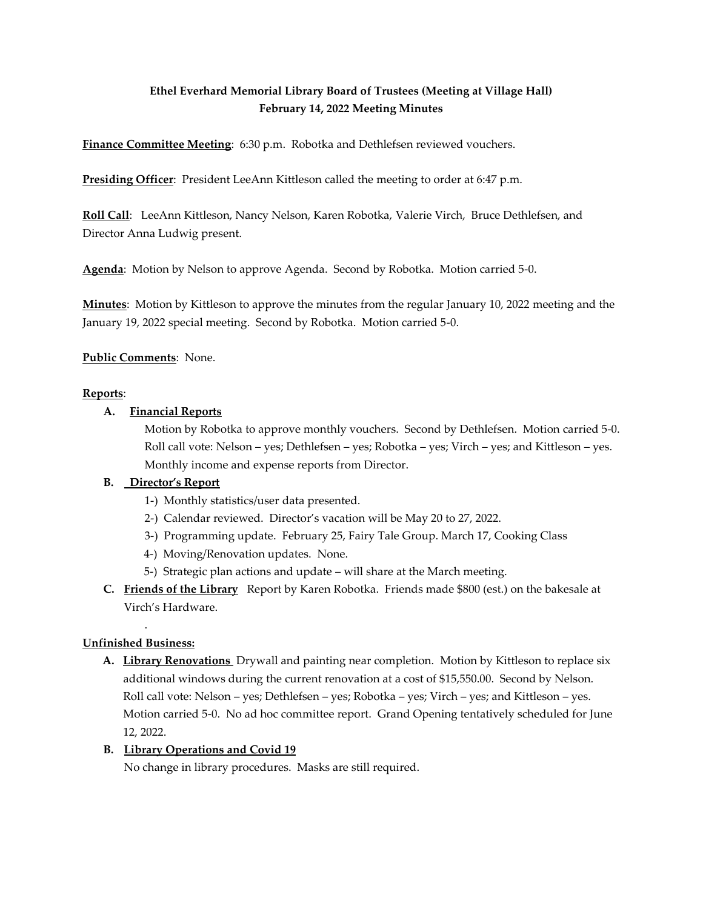# **Ethel Everhard Memorial Library Board of Trustees (Meeting at Village Hall) February 14, 2022 Meeting Minutes**

**Finance Committee Meeting**: 6:30 p.m. Robotka and Dethlefsen reviewed vouchers.

**Presiding Officer**: President LeeAnn Kittleson called the meeting to order at 6:47 p.m.

**Roll Call**: LeeAnn Kittleson, Nancy Nelson, Karen Robotka, Valerie Virch, Bruce Dethlefsen, and Director Anna Ludwig present.

**Agenda**: Motion by Nelson to approve Agenda. Second by Robotka. Motion carried 5-0.

**Minutes**: Motion by Kittleson to approve the minutes from the regular January 10, 2022 meeting and the January 19, 2022 special meeting. Second by Robotka. Motion carried 5-0.

**Public Comments**: None.

# **Reports**:

# **A. Financial Reports**

Motion by Robotka to approve monthly vouchers. Second by Dethlefsen. Motion carried 5-0. Roll call vote: Nelson – yes; Dethlefsen – yes; Robotka – yes; Virch – yes; and Kittleson – yes. Monthly income and expense reports from Director.

# **B. Director's Report**

- 1-) Monthly statistics/user data presented.
- 2-) Calendar reviewed. Director's vacation will be May 20 to 27, 2022.
- 3-) Programming update. February 25, Fairy Tale Group. March 17, Cooking Class
- 4-) Moving/Renovation updates. None.
- 5-) Strategic plan actions and update will share at the March meeting.
- **C. Friends of the Library** Report by Karen Robotka. Friends made \$800 (est.) on the bakesale at Virch's Hardware.

#### . **Unfinished Business:**

**A. Library Renovations** Drywall and painting near completion. Motion by Kittleson to replace six additional windows during the current renovation at a cost of \$15,550.00. Second by Nelson. Roll call vote: Nelson – yes; Dethlefsen – yes; Robotka – yes; Virch – yes; and Kittleson – yes. Motion carried 5-0. No ad hoc committee report. Grand Opening tentatively scheduled for June 12, 2022.

#### **B. Library Operations and Covid 19**

No change in library procedures. Masks are still required.